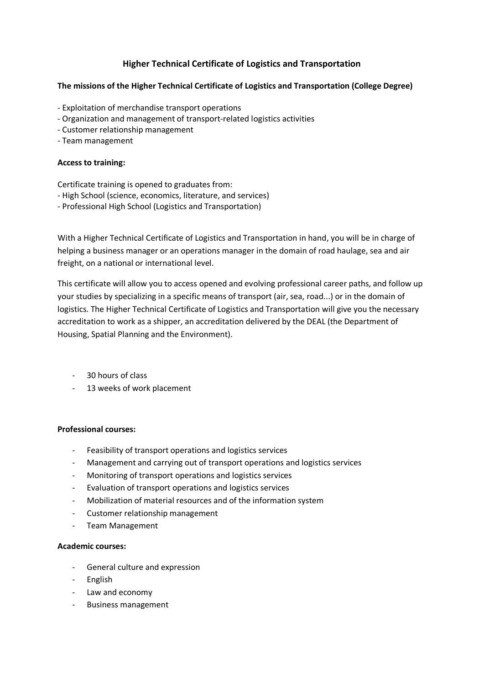# **Higher Technical Certificate of Logistics and Transportation**

### **The missions of the Higher Technical Certificate of Logistics and Transportation (College Degree)**

- Exploitation of merchandise transport operations
- Organization and management of transport-related logistics activities
- Customer relationship management
- Team management

#### **Access to training:**

Certificate training is opened to graduates from:

- High School (science, economics, literature, and services)
- Professional High School (Logistics and Transportation)

With a Higher Technical Certificate of Logistics and Transportation in hand, you will be in charge of helping a business manager or an operations manager in the domain of road haulage, sea and air freight, on a national or international level.

This certificate will allow you to access opened and evolving professional career paths, and follow up your studies by specializing in a specific means of transport (air, sea, road...) or in the domain of logistics. The Higher Technical Certificate of Logistics and Transportation will give you the necessary accreditation to work as a shipper, an accreditation delivered by the DEAL (the Department of Housing, Spatial Planning and the Environment).

- 30 hours of class
- 13 weeks of work placement

#### **Professional courses:**

- Feasibility of transport operations and logistics services
- Management and carrying out of transport operations and logistics services
- Monitoring of transport operations and logistics services
- Evaluation of transport operations and logistics services
- Mobilization of material resources and of the information system
- Customer relationship management
- Team Management

#### **Academic courses:**

- General culture and expression
- English
- Law and economy
- Business management